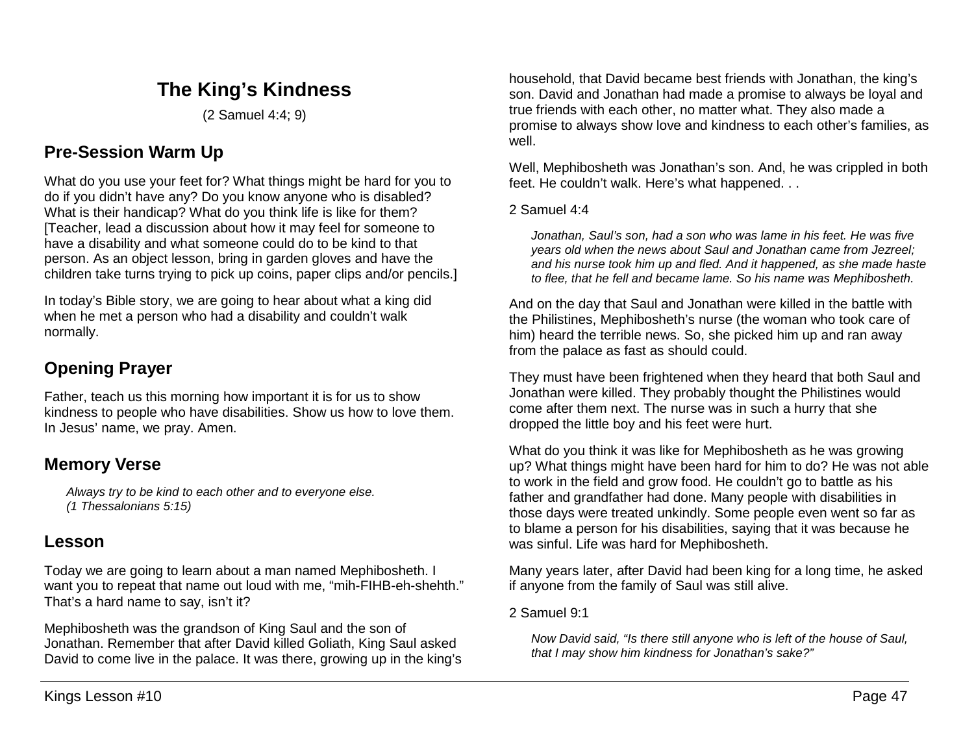# **The King's Kindness**

(2 Samuel 4:4; 9)

# **Pre-Session Warm Up**

What do you use your feet for? What things might be hard for you to do if you didn't have any? Do you know anyone who is disabled? What is their handicap? What do you think life is like for them? [Teacher, lead a discussion about how it may feel for someone to have a disability and what someone could do to be kind to that person. As an object lesson, bring in garden gloves and have the children take turns trying to pick up coins, paper clips and/or pencils.]

In today's Bible story, we are going to hear about what a king did when he met a person who had a disability and couldn't walk normally.

# **Opening Prayer**

Father, teach us this morning how important it is for us to show kindness to people who have disabilities. Show us how to love them. In Jesus' name, we pray. Amen.

## **Memory Verse**

*Always try to be kind to each other and to everyone else. (1 Thessalonians 5:15)*

## **Lesson**

Today we are going to learn about a man named Mephibosheth. I want you to repeat that name out loud with me, "mih-FIHB-eh-shehth." That's a hard name to say, isn't it?

Mephibosheth was the grandson of King Saul and the son of Jonathan. Remember that after David killed Goliath, King Saul asked David to come live in the palace. It was there, growing up in the king's

household, that David became best friends with Jonathan, the king's son. David and Jonathan had made a promise to always be loyal and true friends with each other, no matter what. They also made a promise to always show love and kindness to each other's families, as well.

Well, Mephibosheth was Jonathan's son. And, he was crippled in both feet. He couldn't walk. Here's what happened. . .

#### 2 Samuel 4:4

*Jonathan, Saul's son, had a son who was lame in his feet. He was five years old when the news about Saul and Jonathan came from Jezreel; and his nurse took him up and fled. And it happened, as she made haste to flee, that he fell and became lame. So his name was Mephibosheth.* 

And on the day that Saul and Jonathan were killed in the battle with the Philistines, Mephibosheth's nurse (the woman who took care of him) heard the terrible news. So, she picked him up and ran away from the palace as fast as should could.

They must have been frightened when they heard that both Saul and Jonathan were killed. They probably thought the Philistines would come after them next. The nurse was in such a hurry that she dropped the little boy and his feet were hurt.

What do you think it was like for Mephibosheth as he was growing up? What things might have been hard for him to do? He was not able to work in the field and grow food. He couldn't go to battle as his father and grandfather had done. Many people with disabilities in those days were treated unkindly. Some people even went so far as to blame a person for his disabilities, saying that it was because he was sinful. Life was hard for Mephibosheth.

Many years later, after David had been king for a long time, he asked if anyone from the family of Saul was still alive.

2 Samuel 9:1

*Now David said, "Is there still anyone who is left of the house of Saul, that I may show him kindness for Jonathan's sake?"*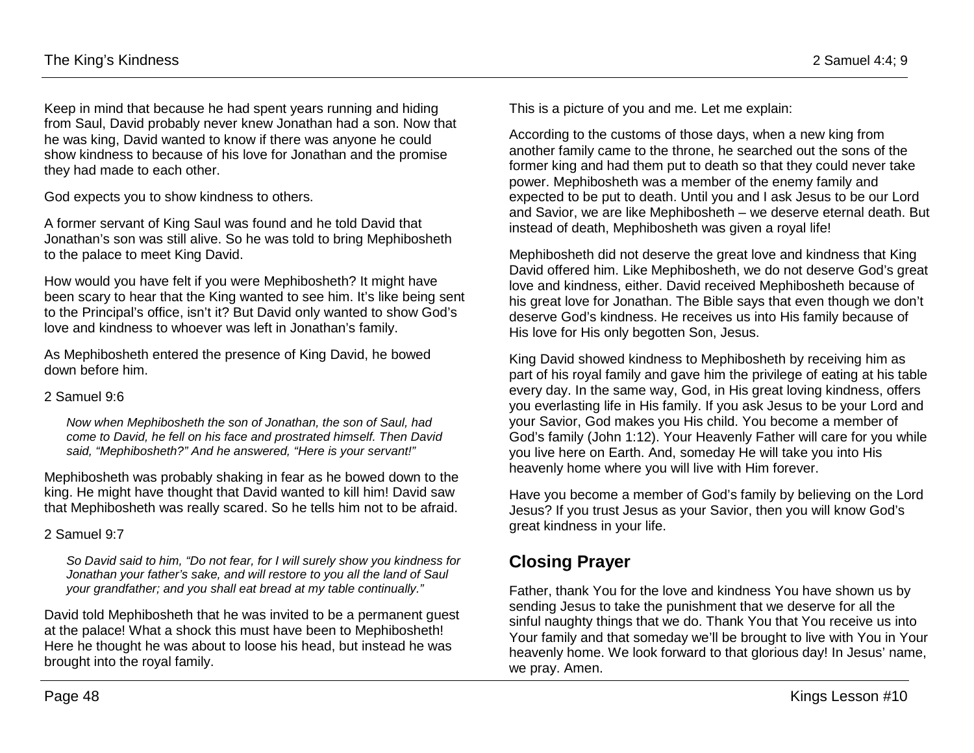Keep in mind that because he had spent years running and hiding from Saul, David probably never knew Jonathan had a son. Now that he was king, David wanted to know if there was anyone he could show kindness to because of his love for Jonathan and the promise they had made to each other.

God expects you to show kindness to others.

A former servant of King Saul was found and he told David that Jonathan's son was still alive. So he was told to bring Mephibosheth to the palace to meet King David.

How would you have felt if you were Mephibosheth? It might have been scary to hear that the King wanted to see him. It's like being sent to the Principal's office, isn't it? But David only wanted to show God's love and kindness to whoever was left in Jonathan's family.

As Mephibosheth entered the presence of King David, he bowed down before him.

#### 2 Samuel 9:6

*Now when Mephibosheth the son of Jonathan, the son of Saul, had come to David, he fell on his face and prostrated himself. Then David said, "Mephibosheth?" And he answered, "Here is your servant!"*

Mephibosheth was probably shaking in fear as he bowed down to the king. He might have thought that David wanted to kill him! David saw that Mephibosheth was really scared. So he tells him not to be afraid.

#### 2 Samuel 9:7

*So David said to him, "Do not fear, for I will surely show you kindness for Jonathan your father's sake, and will restore to you all the land of Saul your grandfather; and you shall eat bread at my table continually."*

David told Mephibosheth that he was invited to be a permanent guest at the palace! What a shock this must have been to Mephibosheth! Here he thought he was about to loose his head, but instead he was brought into the royal family.

This is a picture of you and me. Let me explain:

According to the customs of those days, when a new king from another family came to the throne, he searched out the sons of the former king and had them put to death so that they could never take power. Mephibosheth was a member of the enemy family and expected to be put to death. Until you and I ask Jesus to be our Lord and Savior, we are like Mephibosheth – we deserve eternal death. But instead of death, Mephibosheth was given a royal life!

Mephibosheth did not deserve the great love and kindness that King David offered him. Like Mephibosheth, we do not deserve God's great love and kindness, either. David received Mephibosheth because of his great love for Jonathan. The Bible says that even though we don't deserve God's kindness. He receives us into His family because of His love for His only begotten Son, Jesus.

King David showed kindness to Mephibosheth by receiving him as part of his royal family and gave him the privilege of eating at his table every day. In the same way, God, in His great loving kindness, offers you everlasting life in His family. If you ask Jesus to be your Lord and your Savior, God makes you His child. You become a member of God's family (John 1:12). Your Heavenly Father will care for you while you live here on Earth. And, someday He will take you into His heavenly home where you will live with Him forever.

Have you become a member of God's family by believing on the Lord Jesus? If you trust Jesus as your Savior, then you will know God's great kindness in your life.

# **Closing Prayer**

Father, thank You for the love and kindness You have shown us by sending Jesus to take the punishment that we deserve for all the sinful naughty things that we do. Thank You that You receive us into Your family and that someday we'll be brought to live with You in Your heavenly home. We look forward to that glorious day! In Jesus' name, we pray. Amen.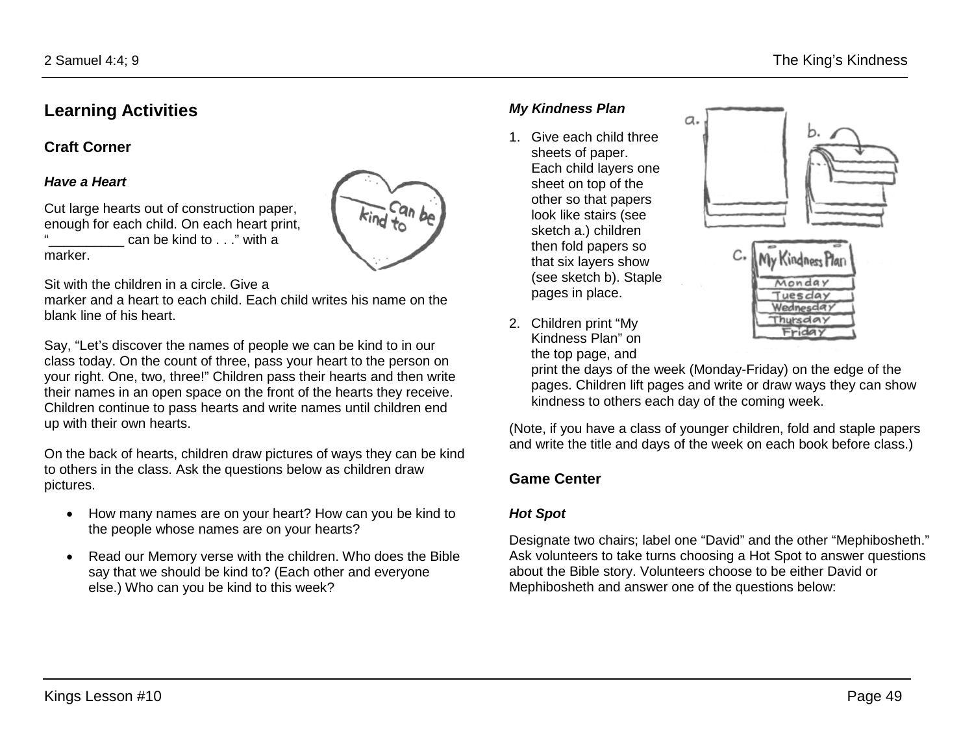## **Learning Activities**

**Craft Corner** 

#### *Have a Heart*

Cut large hearts out of construction paper, enough for each child. On each heart print, can be kind to  $\ldots$ " with a marker.

Sit with the children in a circle. Give a

marker and a heart to each child. Each child writes his name on the blank line of his heart.

 $k$ ind to

Say, "Let's discover the names of people we can be kind to in our class today. On the count of three, pass your heart to the person on your right. One, two, three!" Children pass their hearts and then write their names in an open space on the front of the hearts they receive. Children continue to pass hearts and write names until children end up with their own hearts.

On the back of hearts, children draw pictures of ways they can be kind to others in the class. Ask the questions below as children draw pictures.

- How many names are on your heart? How can you be kind to the people whose names are on your hearts?
- Read our Memory verse with the children. Who does the Bible say that we should be kind to? (Each other and everyone else.) Who can you be kind to this week?

### *My Kindness Plan*

1. Give each child three sheets of paper. Each child layers one sheet on top of the other so that papers look like stairs (see sketch a.) children then fold papers so that six layers show (see sketch b). Staple pages in place.





2. Children print "My Kindness Plan" on the top page, and

> print the days of the week (Monday-Friday) on the edge of the pages. Children lift pages and write or draw ways they can show kindness to others each day of the coming week.

(Note, if you have a class of younger children, fold and staple papers and write the title and days of the week on each book before class.)

### **Game Center**

#### *Hot Spot*

Designate two chairs; label one "David" and the other "Mephibosheth." Ask volunteers to take turns choosing a Hot Spot to answer questions about the Bible story. Volunteers choose to be either David or Mephibosheth and answer one of the questions below: